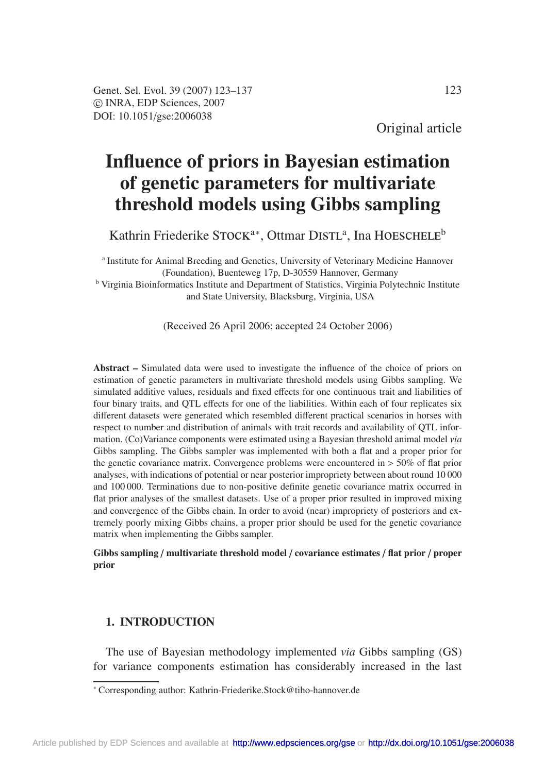Original article

# **Influence of priors in Bayesian estimation of genetic parameters for multivariate threshold models using Gibbs sampling**

Kathrin Friederike STOCK<sup>a\*</sup>, Ottmar DISTL<sup>a</sup>, Ina HOESCHELE<sup>b</sup>

<sup>a</sup> Institute for Animal Breeding and Genetics, University of Veterinary Medicine Hannover (Foundation), Buenteweg 17p, D-30559 Hannover, Germany

<sup>b</sup> Virginia Bioinformatics Institute and Department of Statistics, Virginia Polytechnic Institute and State University, Blacksburg, Virginia, USA

(Received 26 April 2006; accepted 24 October 2006)

**Abstract –** Simulated data were used to investigate the influence of the choice of priors on estimation of genetic parameters in multivariate threshold models using Gibbs sampling. We simulated additive values, residuals and fixed effects for one continuous trait and liabilities of four binary traits, and QTL effects for one of the liabilities. Within each of four replicates six different datasets were generated which resembled different practical scenarios in horses with respect to number and distribution of animals with trait records and availability of QTL information. (Co)Variance components were estimated using a Bayesian threshold animal model *via* Gibbs sampling. The Gibbs sampler was implemented with both a flat and a proper prior for the genetic covariance matrix. Convergence problems were encountered in > 50% of flat prior analyses, with indications of potential or near posterior impropriety between about round 10 000 and 100 000. Terminations due to non-positive definite genetic covariance matrix occurred in flat prior analyses of the smallest datasets. Use of a proper prior resulted in improved mixing and convergence of the Gibbs chain. In order to avoid (near) impropriety of posteriors and extremely poorly mixing Gibbs chains, a proper prior should be used for the genetic covariance matrix when implementing the Gibbs sampler.

## **Gibbs sampling** / **multivariate threshold model** / **covariance estimates** / **flat prior** / **proper prior**

## **1. INTRODUCTION**

The use of Bayesian methodology implemented *via* Gibbs sampling (GS) for variance components estimation has considerably increased in the last

<sup>∗</sup> Corresponding author: Kathrin-Friederike.Stock@tiho-hannover.de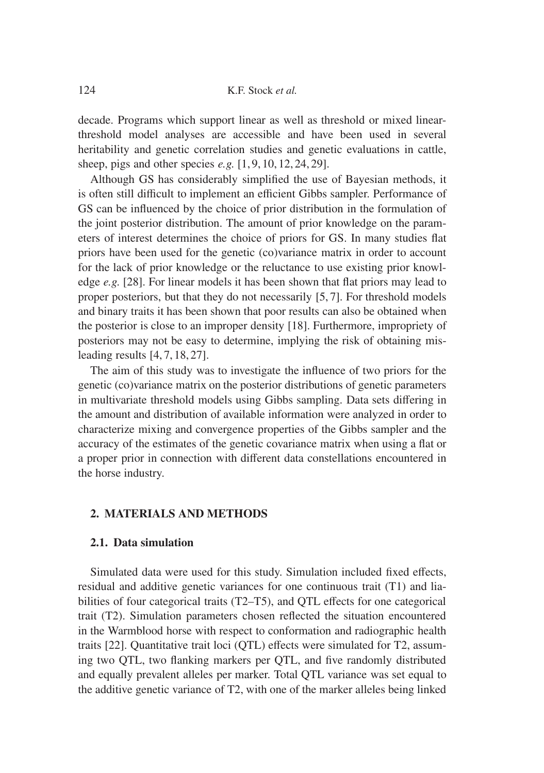K.F. Stock et al.

decade. Programs which support linear as well as threshold or mixed linearthreshold model analyses are accessible and have been used in several heritability and genetic correlation studies and genetic evaluations in cattle, sheep, pigs and other species  $e.g. [1, 9, 10, 12, 24, 29].$ 

Although GS has considerably simplified the use of Bayesian methods, it is often still difficult to implement an efficient Gibbs sampler. Performance of GS can be influenced by the choice of prior distribution in the formulation of the joint posterior distribution. The amount of prior knowledge on the parameters of interest determines the choice of priors for GS. In many studies flat priors have been used for the genetic (co)variance matrix in order to account for the lack of prior knowledge or the reluctance to use existing prior knowledge e.g. [28]. For linear models it has been shown that flat priors may lead to proper posteriors, but that they do not necessarily [5,7]. For threshold models and binary traits it has been shown that poor results can also be obtained when the posterior is close to an improper density [18]. Furthermore, impropriety of posteriors may not be easy to determine, implying the risk of obtaining misleading results  $[4, 7, 18, 27]$ .

The aim of this study was to investigate the influence of two priors for the genetic (co)variance matrix on the posterior distributions of genetic parameters in multivariate threshold models using Gibbs sampling. Data sets differing in the amount and distribution of available information were analyzed in order to characterize mixing and convergence properties of the Gibbs sampler and the accuracy of the estimates of the genetic covariance matrix when using a flat or a proper prior in connection with different data constellations encountered in the horse industry.

## 2. MATERIALS AND METHODS

## 2.1. Data simulation

Simulated data were used for this study. Simulation included fixed effects, residual and additive genetic variances for one continuous trait (T1) and liabilities of four categorical traits (T2–T5), and QTL effects for one categorical trait (T2). Simulation parameters chosen reflected the situation encountered in the Warmblood horse with respect to conformation and radiographic health traits [22]. Quantitative trait loci (QTL) effects were simulated for T2, assuming two QTL, two flanking markers per QTL, and five randomly distributed and equally prevalent alleles per marker. Total QTL variance was set equal to the additive genetic variance of T2, with one of the marker alleles being linked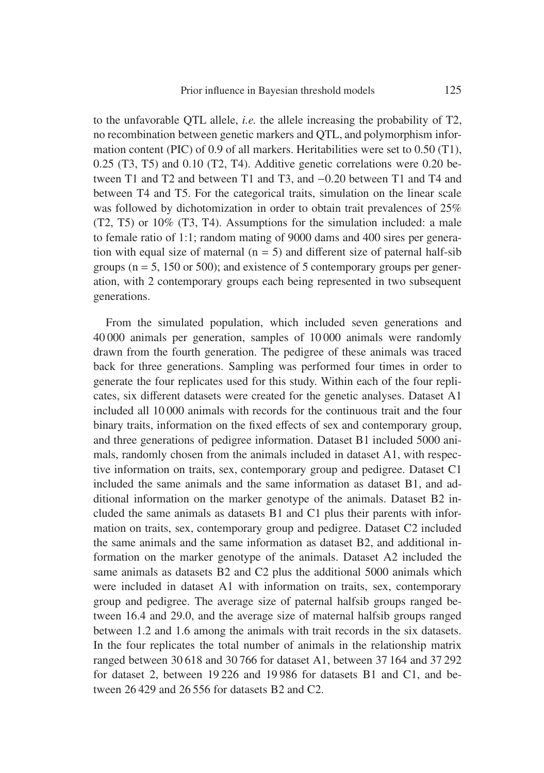to the unfavorable QTL allele, *i.e.* the allele increasing the probability of T2, no recombination between genetic markers and QTL, and polymorphism information content (PIC) of 0.9 of all markers. Heritabilities were set to 0.50 (T1),  $0.25$  (T3, T5) and  $0.10$  (T2, T4). Additive genetic correlations were 0.20 between T1 and T2 and between T1 and T3, and -0.20 between T1 and T4 and between T4 and T5. For the categorical traits, simulation on the linear scale was followed by dichotomization in order to obtain trait prevalences of 25%  $(T2, T5)$  or  $10\%$   $(T3, T4)$ . Assumptions for the simulation included: a male to female ratio of 1:1; random mating of 9000 dams and 400 sires per generation with equal size of maternal  $(n = 5)$  and different size of paternal half-sib groups ( $n = 5$ , 150 or 500); and existence of 5 contemporary groups per generation, with 2 contemporary groups each being represented in two subsequent generations.

From the simulated population, which included seven generations and 40000 animals per generation, samples of 10000 animals were randomly drawn from the fourth generation. The pedigree of these animals was traced back for three generations. Sampling was performed four times in order to generate the four replicates used for this study. Within each of the four replicates, six different datasets were created for the genetic analyses. Dataset A1 included all 10,000 animals with records for the continuous trait and the four binary traits, information on the fixed effects of sex and contemporary group, and three generations of pedigree information. Dataset B1 included 5000 animals, randomly chosen from the animals included in dataset A1, with respective information on traits, sex, contemporary group and pedigree. Dataset C1 included the same animals and the same information as dataset B1, and additional information on the marker genotype of the animals. Dataset B2 included the same animals as datasets B1 and C1 plus their parents with information on traits, sex, contemporary group and pedigree. Dataset C2 included the same animals and the same information as dataset B2, and additional information on the marker genotype of the animals. Dataset A2 included the same animals as datasets B2 and C2 plus the additional 5000 animals which were included in dataset A1 with information on traits, sex, contemporary group and pedigree. The average size of paternal halfsib groups ranged between 16.4 and 29.0, and the average size of maternal halfsib groups ranged between 1.2 and 1.6 among the animals with trait records in the six datasets. In the four replicates the total number of animals in the relationship matrix ranged between 30 618 and 30 766 for dataset A1, between 37 164 and 37 292 for dataset 2, between 19226 and 19986 for datasets B1 and C1, and between 26429 and 26556 for datasets B2 and C2.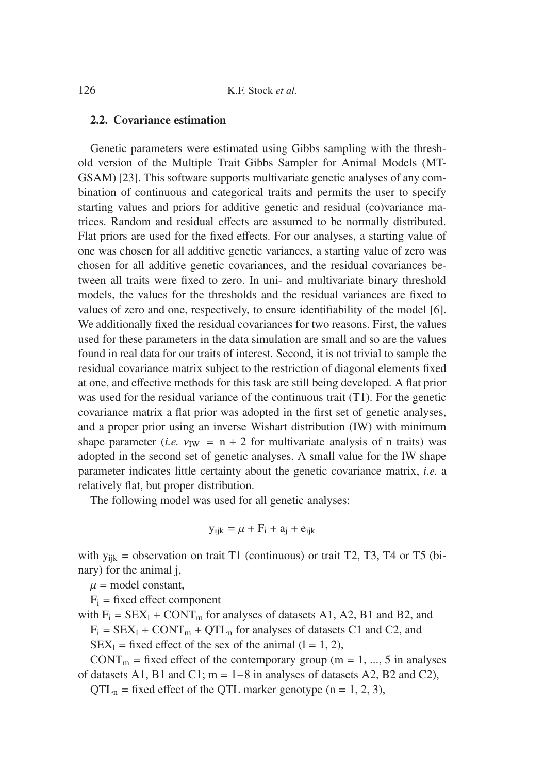## 2.2. Covariance estimation

Genetic parameters were estimated using Gibbs sampling with the threshold version of the Multiple Trait Gibbs Sampler for Animal Models (MT-GSAM) [23]. This software supports multivariate genetic analyses of any combination of continuous and categorical traits and permits the user to specify starting values and priors for additive genetic and residual (co)variance matrices. Random and residual effects are assumed to be normally distributed. Flat priors are used for the fixed effects. For our analyses, a starting value of one was chosen for all additive genetic variances, a starting value of zero was chosen for all additive genetic covariances, and the residual covariances between all traits were fixed to zero. In uni- and multivariate binary threshold models, the values for the thresholds and the residual variances are fixed to values of zero and one, respectively, to ensure identifiability of the model [6]. We additionally fixed the residual covariances for two reasons. First, the values used for these parameters in the data simulation are small and so are the values found in real data for our traits of interest. Second, it is not trivial to sample the residual covariance matrix subject to the restriction of diagonal elements fixed at one, and effective methods for this task are still being developed. A flat prior was used for the residual variance of the continuous trait (T1). For the genetic covariance matrix a flat prior was adopted in the first set of genetic analyses, and a proper prior using an inverse Wishart distribution (IW) with minimum shape parameter (*i.e.*  $v_{\text{IW}} = n + 2$  for multivariate analysis of n traits) was adopted in the second set of genetic analyses. A small value for the IW shape parameter indicates little certainty about the genetic covariance matrix, *i.e.* a relatively flat, but proper distribution.

The following model was used for all genetic analyses:

$$
y_{ijk} = \mu + F_i + a_j + e_{ijk}
$$

with  $y_{ijk}$  = observation on trait T1 (continuous) or trait T2, T3, T4 or T5 (binary) for the animal j,

 $\mu$  = model constant,

 $F_i$  = fixed effect component

with  $F_i = SEX_i + CONT_m$  for analyses of datasets A1, A2, B1 and B2, and  $F_i = SEX_1 + CONT_m + QTL_n$  for analyses of datasets C1 and C2, and

 $SEX_1$  = fixed effect of the sex of the animal (1 = 1, 2),

 $CONT_m$  = fixed effect of the contemporary group (m = 1, ..., 5 in analyses of datasets A1, B1 and C1;  $m = 1-8$  in analyses of datasets A2, B2 and C2),

 $QTL_n$  = fixed effect of the QTL marker genotype (n = 1, 2, 3),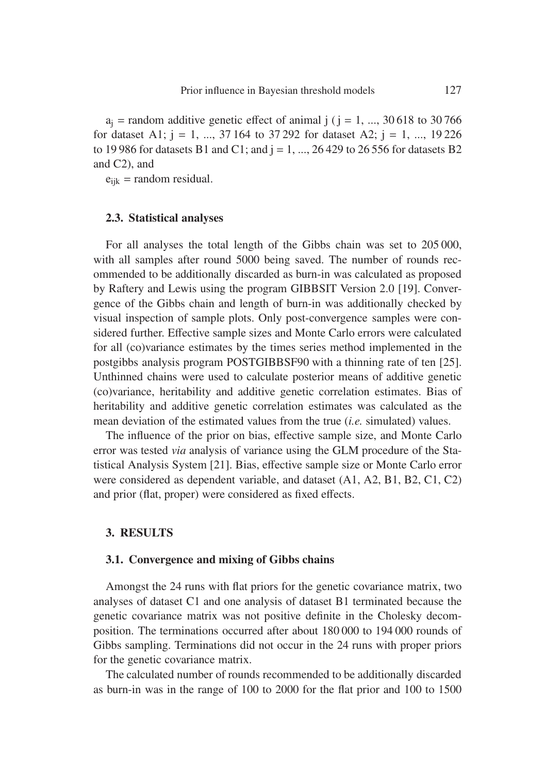$a_i$  = random additive genetic effect of animal j ( $i = 1, ..., 30618$  to 30766 for dataset A1;  $j = 1, ..., 37164$  to 37292 for dataset A2;  $j = 1, ..., 19226$ to 19 986 for datasets B1 and C1; and  $j = 1, ..., 26429$  to 26 556 for datasets B2 and C<sub>2</sub>), and

 $e_{iik}$  = random residual.

#### 2.3. Statistical analyses

For all analyses the total length of the Gibbs chain was set to 205 000, with all samples after round 5000 being saved. The number of rounds recommended to be additionally discarded as burn-in was calculated as proposed by Raftery and Lewis using the program GIBBSIT Version 2.0 [19]. Convergence of the Gibbs chain and length of burn-in was additionally checked by visual inspection of sample plots. Only post-convergence samples were considered further. Effective sample sizes and Monte Carlo errors were calculated for all (co)variance estimates by the times series method implemented in the postgibbs analysis program POSTGIBBSF90 with a thinning rate of ten [25]. Unthinned chains were used to calculate posterior means of additive genetic (co)variance, heritability and additive genetic correlation estimates. Bias of heritability and additive genetic correlation estimates was calculated as the mean deviation of the estimated values from the true  $(i.e.$  simulated) values.

The influence of the prior on bias, effective sample size, and Monte Carlo error was tested *via* analysis of variance using the GLM procedure of the Statistical Analysis System [21]. Bias, effective sample size or Monte Carlo error were considered as dependent variable, and dataset (A1, A2, B1, B2, C1, C2) and prior (flat, proper) were considered as fixed effects.

## 3. RESULTS

#### 3.1. Convergence and mixing of Gibbs chains

Amongst the 24 runs with flat priors for the genetic covariance matrix, two analyses of dataset C1 and one analysis of dataset B1 terminated because the genetic covariance matrix was not positive definite in the Cholesky decomposition. The terminations occurred after about 180 000 to 194 000 rounds of Gibbs sampling. Terminations did not occur in the 24 runs with proper priors for the genetic covariance matrix.

The calculated number of rounds recommended to be additionally discarded as burn-in was in the range of 100 to 2000 for the flat prior and 100 to 1500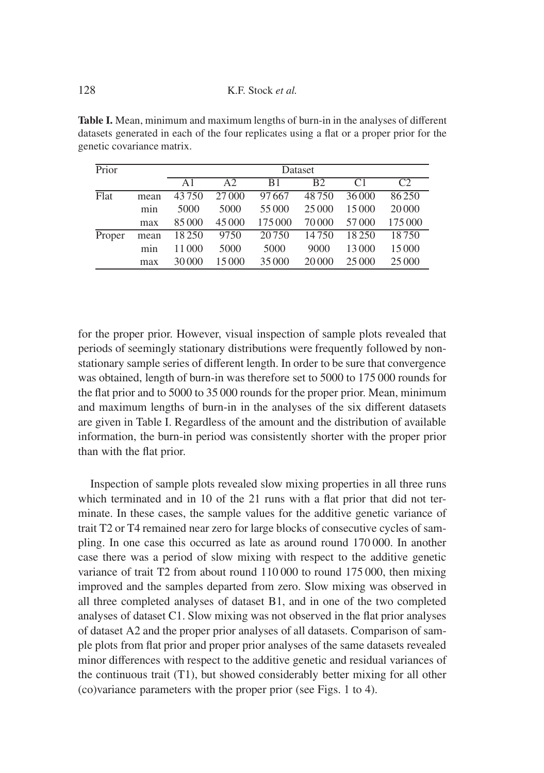Table I. Mean, minimum and maximum lengths of burn-in in the analyses of different datasets generated in each of the four replicates using a flat or a proper prior for the genetic covariance matrix.

| Prior  |      | Dataset    |        |                |        |                |                |
|--------|------|------------|--------|----------------|--------|----------------|----------------|
|        |      | $\Delta$ 1 | A2     | B <sub>1</sub> | B2     | C <sub>1</sub> | C <sub>2</sub> |
| Flat   | mean | 43750      | 27 000 | 97667          | 48750  | 36000          | 86250          |
|        | min  | 5000       | 5000   | 55 000         | 25 000 | 15000          | 20 000         |
|        | max  | 85000      | 45 000 | 175 000        | 70000  | 57000          | 175 000        |
| Proper | mean | 18250      | 9750   | 20750          | 14750  | 18250          | 18750          |
|        | min  | 11 000     | 5000   | 5000           | 9000   | 13000          | 15 000         |
|        | max  | 30000      | 15000  | 35 000         | 20 000 | 25 000         | 25 000         |

for the proper prior. However, visual inspection of sample plots revealed that periods of seemingly stationary distributions were frequently followed by nonstationary sample series of different length. In order to be sure that convergence was obtained, length of burn-in was therefore set to 5000 to 175 000 rounds for the flat prior and to 5000 to 35 000 rounds for the proper prior. Mean, minimum and maximum lengths of burn-in in the analyses of the six different datasets are given in Table I. Regardless of the amount and the distribution of available information, the burn-in period was consistently shorter with the proper prior than with the flat prior.

Inspection of sample plots revealed slow mixing properties in all three runs which terminated and in 10 of the 21 runs with a flat prior that did not terminate. In these cases, the sample values for the additive genetic variance of trait T2 or T4 remained near zero for large blocks of consecutive cycles of sampling. In one case this occurred as late as around round 170 000. In another case there was a period of slow mixing with respect to the additive genetic variance of trait T2 from about round 110 000 to round 175 000, then mixing improved and the samples departed from zero. Slow mixing was observed in all three completed analyses of dataset B1, and in one of the two completed analyses of dataset C1. Slow mixing was not observed in the flat prior analyses of dataset A2 and the proper prior analyses of all datasets. Comparison of sample plots from flat prior and proper prior analyses of the same datasets revealed minor differences with respect to the additive genetic and residual variances of the continuous trait (T1), but showed considerably better mixing for all other (co)variance parameters with the proper prior (see Figs. 1 to 4).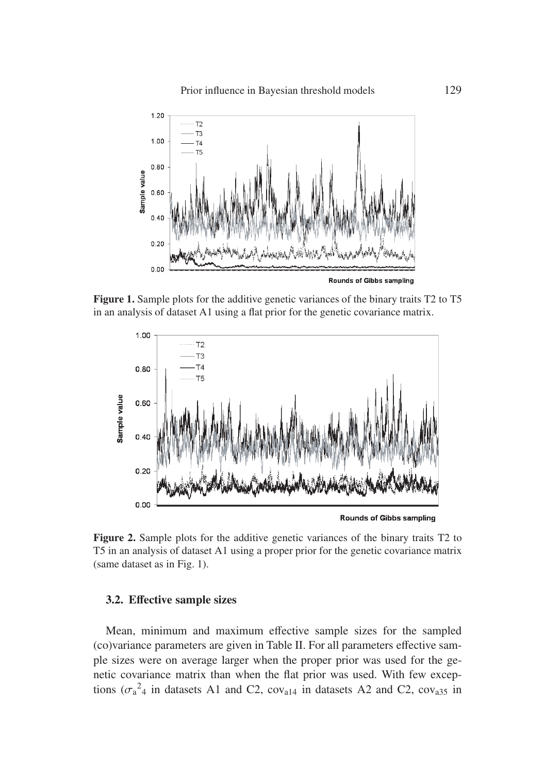Prior influence in Bayesian threshold models



**Rounds of Gibbs sampling** 

Figure 1. Sample plots for the additive genetic variances of the binary traits T2 to T5 in an analysis of dataset A1 using a flat prior for the genetic covariance matrix.



**Figure 2.** Sample plots for the additive genetic variances of the binary traits T2 to T5 in an analysis of dataset A1 using a proper prior for the genetic covariance matrix (same dataset as in Fig. 1).

## 3.2. Effective sample sizes

Mean, minimum and maximum effective sample sizes for the sampled (co)variance parameters are given in Table II. For all parameters effective sample sizes were on average larger when the proper prior was used for the genetic covariance matrix than when the flat prior was used. With few exceptions ( $\sigma_a^2$ 4 in datasets A1 and C2, cov<sub>a14</sub> in datasets A2 and C2, cov<sub>a35</sub> in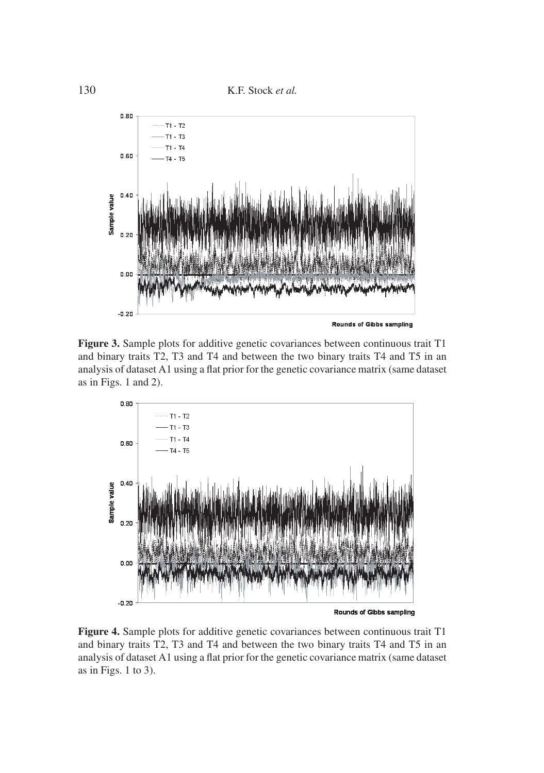K.F. Stock et al.



Figure 3. Sample plots for additive genetic covariances between continuous trait T1 and binary traits T2, T3 and T4 and between the two binary traits T4 and T5 in an analysis of dataset A1 using a flat prior for the genetic covariance matrix (same dataset as in Figs. 1 and 2).



Figure 4. Sample plots for additive genetic covariances between continuous trait T1 and binary traits T2, T3 and T4 and between the two binary traits T4 and T5 in an analysis of dataset A1 using a flat prior for the genetic covariance matrix (same dataset as in Figs.  $1$  to  $3$ ).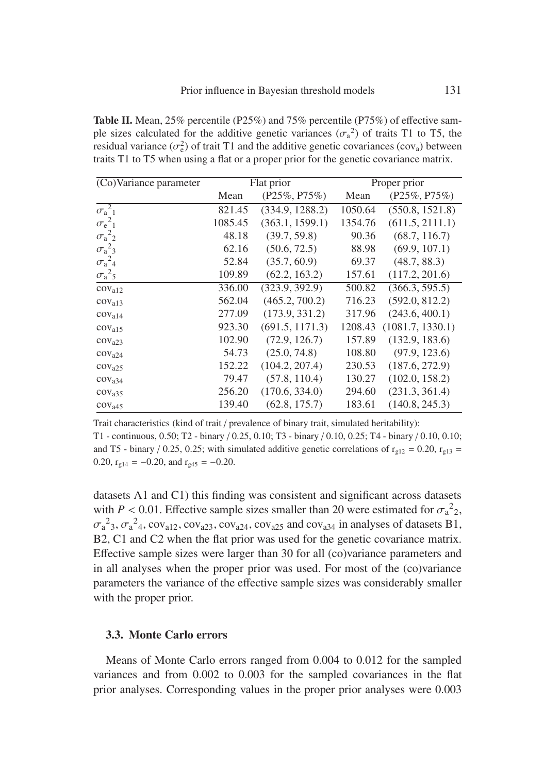**Table II.** Mean, 25% percentile (P25%) and 75% percentile (P75%) of effective sample sizes calculated for the additive genetic variances ( $\sigma_a^2$ ) of traits T1 to T5, the residual variance  $(\sigma_e^2)$  of trait T1 and the additive genetic covariances (cov<sub>a</sub>) between traits T1 to T5 when using a flat or a proper prior for the genetic covariance matrix.

| (Co)Variance parameter          |         | Flat prior       | Proper prior |                  |  |
|---------------------------------|---------|------------------|--------------|------------------|--|
|                                 | Mean    | $(P25\%, P75\%)$ | Mean         | $(P25\%, P75\%)$ |  |
| $\overline{\sigma_a^2}$ 1       | 821.45  | (334.9, 1288.2)  | 1050.64      | (550.8, 1521.8)  |  |
| $\sigma_{\rm e}^2$ <sub>1</sub> | 1085.45 | (363.1, 1599.1)  | 1354.76      | (611.5, 2111.1)  |  |
| $\sigma_a{}^2{}_2$              | 48.18   | (39.7, 59.8)     | 90.36        | (68.7, 116.7)    |  |
| $\sigma_a{}^2$ <sub>3</sub>     | 62.16   | (50.6, 72.5)     | 88.98        | (69.9, 107.1)    |  |
| $\sigma_a^2$ 4                  | 52.84   | (35.7, 60.9)     | 69.37        | (48.7, 88.3)     |  |
| $\sigma_a{}^2$ 5                | 109.89  | (62.2, 163.2)    | 157.61       | (117.2, 201.6)   |  |
| cov <sub>a12</sub>              | 336.00  | (323.9, 392.9)   | 500.82       | (366.3, 595.5)   |  |
| COV <sub>313</sub>              | 562.04  | (465.2, 700.2)   | 716.23       | (592.0, 812.2)   |  |
| cov <sub>a14</sub>              | 277.09  | (173.9, 331.2)   | 317.96       | (243.6, 400.1)   |  |
| cov <sub>a15</sub>              | 923.30  | (691.5, 1171.3)  | 1208.43      | (1081.7, 1330.1) |  |
| cov <sub>a23</sub>              | 102.90  | (72.9, 126.7)    | 157.89       | (132.9, 183.6)   |  |
| cov <sub>a24</sub>              | 54.73   | (25.0, 74.8)     | 108.80       | (97.9, 123.6)    |  |
| cov <sub>a25</sub>              | 152.22  | (104.2, 207.4)   | 230.53       | (187.6, 272.9)   |  |
| COV <sub>334</sub>              | 79.47   | (57.8, 110.4)    | 130.27       | (102.0, 158.2)   |  |
| cov <sub>a35</sub>              | 256.20  | (170.6, 334.0)   | 294.60       | (231.3, 361.4)   |  |
| COV <sub>a45</sub>              | 139.40  | (62.8, 175.7)    | 183.61       | (140.8, 245.3)   |  |

Trait characteristics (kind of trait / prevalence of binary trait, simulated heritability): T1 - continuous, 0.50; T2 - binary / 0.25, 0.10; T3 - binary / 0.10, 0.25; T4 - binary / 0.10, 0.10; and T5 - binary / 0.25, 0.25; with simulated additive genetic correlations of  $r_{g12} = 0.20$ ,  $r_{g13} =$ 0.20,  $r_{g14} = -0.20$ , and  $r_{g45} = -0.20$ .

datasets A1 and C1) this finding was consistent and significant across datasets with  $P < 0.01$ . Effective sample sizes smaller than 20 were estimated for  $\sigma_a^2$ ,  $\sigma_a^2$ <sub>3</sub>,  $\sigma_a^2$ <sub>4</sub>,  $cov_{a12}$ ,  $cov_{a23}$ ,  $cov_{a24}$ ,  $cov_{a25}$  and  $cov_{a34}$  in analyses of datasets B1, B2, C1 and C2 when the flat prior was used for the genetic covariance matrix. Effective sample sizes were larger than 30 for all (co)variance parameters and in all analyses when the proper prior was used. For most of the (co)variance parameters the variance of the effective sample sizes was considerably smaller with the proper prior.

#### 3.3. Monte Carlo errors

Means of Monte Carlo errors ranged from 0.004 to 0.012 for the sampled variances and from 0.002 to 0.003 for the sampled covariances in the flat prior analyses. Corresponding values in the proper prior analyses were 0.003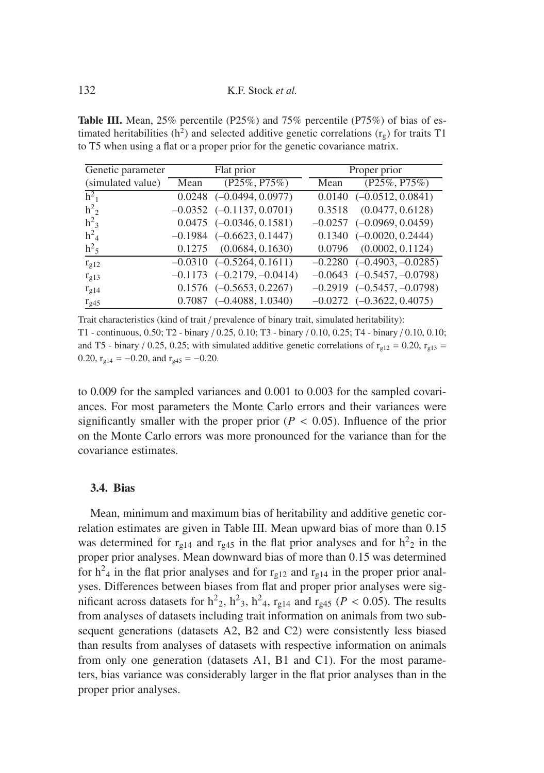Table III. Mean, 25% percentile (P25%) and 75% percentile (P75%) of bias of estimated heritabilities (h<sup>2</sup>) and selected additive genetic correlations ( $r<sub>g</sub>$ ) for traits T1 to T5 when using a flat or a proper prior for the genetic covariance matrix.

| Genetic parameter  |      | Flat prior                     | Proper prior |                                |  |
|--------------------|------|--------------------------------|--------------|--------------------------------|--|
| (simulated value)  | Mean | $(P25\%, P75\%)$               | Mean         | $(P25\%, P75\%)$               |  |
| $h^2$ <sub>1</sub> |      | $0.0248$ $(-0.0494, 0.0977)$   |              | $0.0140 (-0.0512, 0.0841)$     |  |
| $h^2$              |      | $-0.0352$ $(-0.1137, 0.0701)$  | 0.3518       | (0.0477, 0.6128)               |  |
| $h^2$ <sub>3</sub> |      | $0.0475$ $(-0.0346, 0.1581)$   |              | $-0.0257$ $(-0.0969, 0.0459)$  |  |
| $h^2$ <sub>4</sub> |      | $-0.1984$ $(-0.6623, 0.1447)$  |              | $0.1340 (-0.0020, 0.2444)$     |  |
| $h^2$ <sub>5</sub> |      | $0.1275$ $(0.0684, 0.1630)$    |              | $0.0796$ $(0.0002, 0.1124)$    |  |
| $r_{g12}$          |      | $-0.0310 (-0.5264, 0.1611)$    |              | $-0.2280$ $(-0.4903, -0.0285)$ |  |
| $r_{g13}$          |      | $-0.1173$ $(-0.2179, -0.0414)$ |              | $-0.0643$ $(-0.5457, -0.0798)$ |  |
| $r_{g14}$          |      | $0.1576$ $(-0.5653, 0.2267)$   |              | $-0.2919$ $(-0.5457, -0.0798)$ |  |
| $r_{g45}$          |      | $0.7087$ $(-0.4088, 1.0340)$   |              | $-0.0272$ $(-0.3622, 0.4075)$  |  |

Trait characteristics (kind of trait / prevalence of binary trait, simulated heritability): T1 - continuous, 0.50; T2 - binary / 0.25, 0.10; T3 - binary / 0.10, 0.25; T4 - binary / 0.10, 0.10; and T5 - binary / 0.25, 0.25; with simulated additive genetic correlations of  $r_{g12} = 0.20$ ,  $r_{g13} =$ 0.20,  $r_{g14} = -0.20$ , and  $r_{g45} = -0.20$ .

to 0.009 for the sampled variances and 0.001 to 0.003 for the sampled covariances. For most parameters the Monte Carlo errors and their variances were significantly smaller with the proper prior ( $P < 0.05$ ). Influence of the prior on the Monte Carlo errors was more pronounced for the variance than for the covariance estimates.

## **3.4. Bias**

Mean, minimum and maximum bias of heritability and additive genetic correlation estimates are given in Table III. Mean upward bias of more than 0.15 was determined for  $r_{g14}$  and  $r_{g45}$  in the flat prior analyses and for  $h<sup>2</sup>_{2}$  in the proper prior analyses. Mean downward bias of more than 0.15 was determined for  $h<sup>2</sup>$  and the flat prior analyses and for  $r<sub>g12</sub>$  and  $r<sub>g14</sub>$  in the proper prior analyses. Differences between biases from flat and proper prior analyses were significant across datasets for  $h<sup>2</sup>$ ,  $h<sup>2</sup>$ ,  $h<sup>2</sup>$ ,  $h<sup>2</sup>$ ,  $r<sub>g14</sub>$  and  $r<sub>g45</sub>$  ( $P < 0.05$ ). The results from analyses of datasets including trait information on animals from two subsequent generations (datasets A2, B2 and C2) were consistently less biased than results from analyses of datasets with respective information on animals from only one generation (datasets A1, B1 and C1). For the most parameters, bias variance was considerably larger in the flat prior analyses than in the proper prior analyses.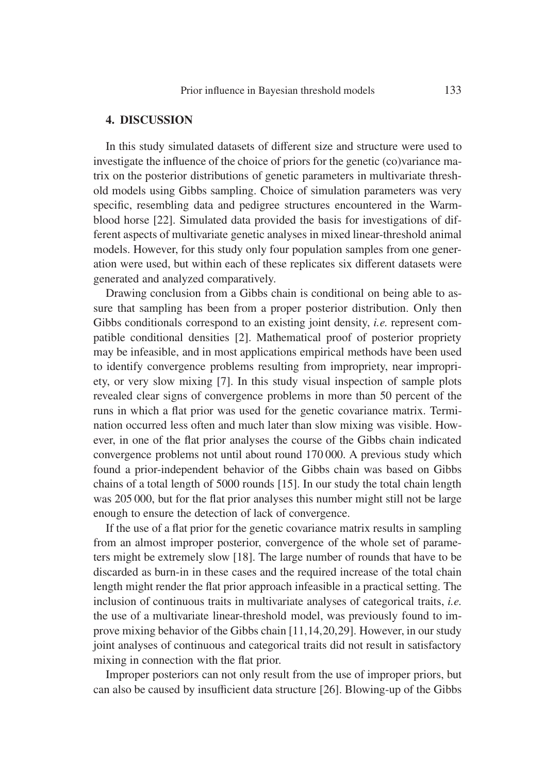### **4. DISCUSSION**

In this study simulated datasets of different size and structure were used to investigate the influence of the choice of priors for the genetic (co)variance matrix on the posterior distributions of genetic parameters in multivariate threshold models using Gibbs sampling. Choice of simulation parameters was very specific, resembling data and pedigree structures encountered in the Warmblood horse [22]. Simulated data provided the basis for investigations of different aspects of multivariate genetic analyses in mixed linear-threshold animal models. However, for this study only four population samples from one generation were used, but within each of these replicates six different datasets were generated and analyzed comparatively.

Drawing conclusion from a Gibbs chain is conditional on being able to assure that sampling has been from a proper posterior distribution. Only then Gibbs conditionals correspond to an existing joint density, *i.e.* represent compatible conditional densities [2]. Mathematical proof of posterior propriety may be infeasible, and in most applications empirical methods have been used to identify convergence problems resulting from impropriety, near impropriety, or very slow mixing [7]. In this study visual inspection of sample plots revealed clear signs of convergence problems in more than 50 percent of the runs in which a flat prior was used for the genetic covariance matrix. Termination occurred less often and much later than slow mixing was visible. However, in one of the flat prior analyses the course of the Gibbs chain indicated convergence problems not until about round 170 000. A previous study which found a prior-independent behavior of the Gibbs chain was based on Gibbs chains of a total length of 5000 rounds [15]. In our study the total chain length was 205 000, but for the flat prior analyses this number might still not be large enough to ensure the detection of lack of convergence.

If the use of a flat prior for the genetic covariance matrix results in sampling from an almost improper posterior, convergence of the whole set of parameters might be extremely slow [18]. The large number of rounds that have to be discarded as burn-in in these cases and the required increase of the total chain length might render the flat prior approach infeasible in a practical setting. The inclusion of continuous traits in multivariate analyses of categorical traits, *i.e.* the use of a multivariate linear-threshold model, was previously found to improve mixing behavior of the Gibbs chain [11, 14, 20, 29]. However, in our study joint analyses of continuous and categorical traits did not result in satisfactory mixing in connection with the flat prior.

Improper posteriors can not only result from the use of improper priors, but can also be caused by insufficient data structure [26]. Blowing-up of the Gibbs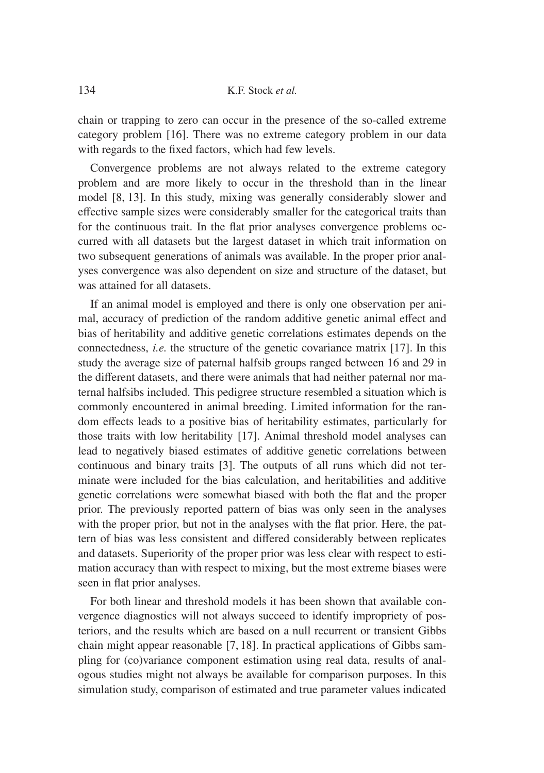chain or trapping to zero can occur in the presence of the so-called extreme category problem [16]. There was no extreme category problem in our data with regards to the fixed factors, which had few levels.

Convergence problems are not always related to the extreme category problem and are more likely to occur in the threshold than in the linear model [8, 13]. In this study, mixing was generally considerably slower and effective sample sizes were considerably smaller for the categorical traits than for the continuous trait. In the flat prior analyses convergence problems occurred with all datasets but the largest dataset in which trait information on two subsequent generations of animals was available. In the proper prior analyses convergence was also dependent on size and structure of the dataset, but was attained for all datasets.

If an animal model is employed and there is only one observation per animal, accuracy of prediction of the random additive genetic animal effect and bias of heritability and additive genetic correlations estimates depends on the connectedness, *i.e.* the structure of the genetic covariance matrix [17]. In this study the average size of paternal halfsib groups ranged between 16 and 29 in the different datasets, and there were animals that had neither paternal nor maternal halfsibs included. This pedigree structure resembled a situation which is commonly encountered in animal breeding. Limited information for the random effects leads to a positive bias of heritability estimates, particularly for those traits with low heritability [17]. Animal threshold model analyses can lead to negatively biased estimates of additive genetic correlations between continuous and binary traits [3]. The outputs of all runs which did not terminate were included for the bias calculation, and heritabilities and additive genetic correlations were somewhat biased with both the flat and the proper prior. The previously reported pattern of bias was only seen in the analyses with the proper prior, but not in the analyses with the flat prior. Here, the pattern of bias was less consistent and differed considerably between replicates and datasets. Superiority of the proper prior was less clear with respect to estimation accuracy than with respect to mixing, but the most extreme biases were seen in flat prior analyses.

For both linear and threshold models it has been shown that available convergence diagnostics will not always succeed to identify impropriety of posteriors, and the results which are based on a null recurrent or transient Gibbs chain might appear reasonable [7, 18]. In practical applications of Gibbs sampling for (co)variance component estimation using real data, results of analogous studies might not always be available for comparison purposes. In this simulation study, comparison of estimated and true parameter values indicated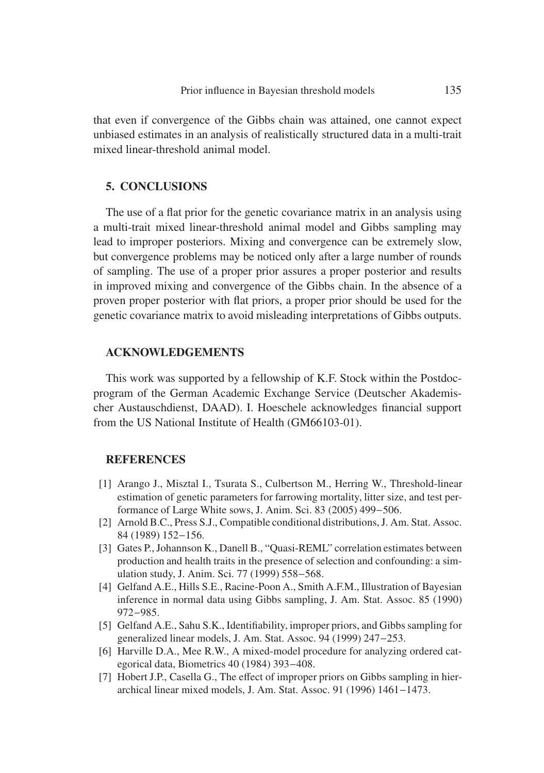that even if convergence of the Gibbs chain was attained, one cannot expect unbiased estimates in an analysis of realistically structured data in a multi-trait mixed linear-threshold animal model.

## **5. CONCLUSIONS**

The use of a flat prior for the genetic covariance matrix in an analysis using a multi-trait mixed linear-threshold animal model and Gibbs sampling may lead to improper posteriors. Mixing and convergence can be extremely slow, but convergence problems may be noticed only after a large number of rounds of sampling. The use of a proper prior assures a proper posterior and results in improved mixing and convergence of the Gibbs chain. In the absence of a proven proper posterior with flat priors, a proper prior should be used for the genetic covariance matrix to avoid misleading interpretations of Gibbs outputs.

## **ACKNOWLEDGEMENTS**

This work was supported by a fellowship of K.F. Stock within the Postdocprogram of the German Academic Exchange Service (Deutscher Akademischer Austauschdienst, DAAD). I. Hoeschele acknowledges financial support from the US National Institute of Health (GM66103-01).

## **REFERENCES**

- [1] Arango J., Misztal I., Tsurata S., Culbertson M., Herring W., Threshold-linear estimation of genetic parameters for farrowing mortality, litter size, and test performance of Large White sows, J. Anim. Sci. 83 (2005) 499–506.
- [2] Arnold B.C., Press S.J., Compatible conditional distributions, J. Am. Stat. Assoc. 84 (1989) 152-156.
- [3] Gates P., Johannson K., Danell B., "Quasi-REML" correlation estimates between production and health traits in the presence of selection and confounding: a simulation study, J. Anim. Sci. 77 (1999) 558-568.
- [4] Gelfand A.E., Hills S.E., Racine-Poon A., Smith A.F.M., Illustration of Bayesian inference in normal data using Gibbs sampling, J. Am. Stat. Assoc. 85 (1990) 972-985.
- [5] Gelfand A.E., Sahu S.K., Identifiability, improper priors, and Gibbs sampling for generalized linear models, J. Am. Stat. Assoc. 94 (1999) 247-253.
- [6] Harville D.A., Mee R.W., A mixed-model procedure for analyzing ordered categorical data, Biometrics 40 (1984) 393-408.
- [7] Hobert J.P., Casella G., The effect of improper priors on Gibbs sampling in hierarchical linear mixed models, J. Am. Stat. Assoc. 91 (1996) 1461-1473.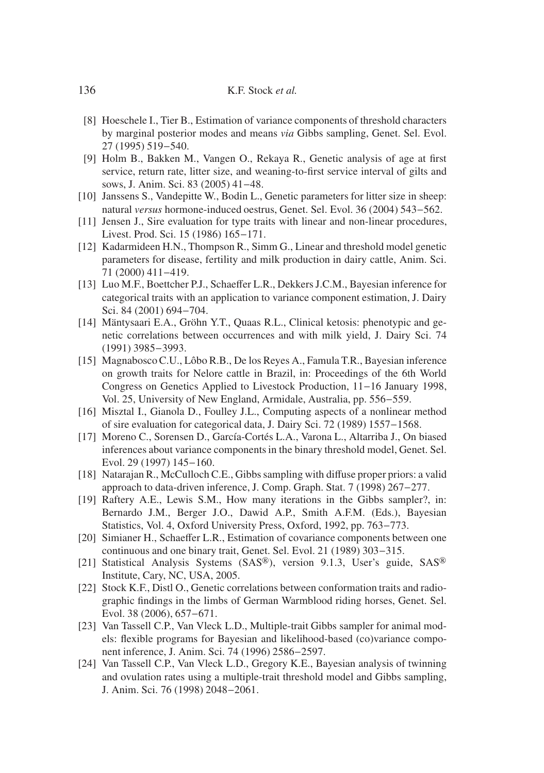- [8] Hoeschele I., Tier B., Estimation of variance components of threshold characters by marginal posterior modes and means via Gibbs sampling, Genet. Sel. Evol. 27 (1995) 519-540.
- [9] Holm B., Bakken M., Vangen O., Rekaya R., Genetic analysis of age at first service, return rate, litter size, and weaning-to-first service interval of gilts and sows, J. Anim. Sci. 83 (2005) 41-48.
- [10] Janssens S., Vandepitte W., Bodin L., Genetic parameters for litter size in sheep: natural versus hormone-induced oestrus, Genet. Sel. Evol. 36 (2004) 543-562.
- [11] Jensen J., Sire evaluation for type traits with linear and non-linear procedures, Livest. Prod. Sci. 15 (1986) 165-171.
- [12] Kadarmideen H.N., Thompson R., Simm G., Linear and threshold model genetic parameters for disease, fertility and milk production in dairy cattle, Anim. Sci. 71 (2000) 411-419.
- [13] Luo M.F., Boettcher P.J., Schaeffer L.R., Dekkers J.C.M., Bayesian inference for categorical traits with an application to variance component estimation, J. Dairy Sci. 84 (2001) 694-704.
- [14] Mäntysaari E.A., Gröhn Y.T., Quaas R.L., Clinical ketosis: phenotypic and genetic correlations between occurrences and with milk yield, J. Dairy Sci. 74  $(1991)$  3985-3993.
- [15] Magnabosco C.U., Lôbo R.B., De los Reyes A., Famula T.R., Bayesian inference on growth traits for Nelore cattle in Brazil, in: Proceedings of the 6th World Congress on Genetics Applied to Livestock Production, 11–16 January 1998, Vol. 25, University of New England, Armidale, Australia, pp. 556–559.
- [16] Misztal I., Gianola D., Foulley J.L., Computing aspects of a nonlinear method of sire evaluation for categorical data, J. Dairy Sci. 72 (1989) 1557–1568.
- [17] Moreno C., Sorensen D., García-Cortés L.A., Varona L., Altarriba J., On biased inferences about variance components in the binary threshold model, Genet. Sel. Evol. 29 (1997) 145-160.
- [18] Natarajan R., McCulloch C.E., Gibbs sampling with diffuse proper priors: a valid approach to data-driven inference, J. Comp. Graph. Stat. 7 (1998) 267–277.
- [19] Raftery A.E., Lewis S.M., How many iterations in the Gibbs sampler?, in: Bernardo J.M., Berger J.O., Dawid A.P., Smith A.F.M. (Eds.), Bayesian Statistics, Vol. 4, Oxford University Press, Oxford, 1992, pp. 763–773.
- [20] Simianer H., Schaeffer L.R., Estimation of covariance components between one continuous and one binary trait, Genet. Sel. Evol. 21 (1989) 303-315.
- [21] Statistical Analysis Systems (SAS®), version 9.1.3, User's guide, SAS® Institute, Cary, NC, USA, 2005.
- [22] Stock K.F., Distl O., Genetic correlations between conformation traits and radiographic findings in the limbs of German Warmblood riding horses, Genet. Sel. Evol. 38 (2006), 657-671.
- [23] Van Tassell C.P., Van Vleck L.D., Multiple-trait Gibbs sampler for animal models: flexible programs for Bayesian and likelihood-based (co)variance component inference, J. Anim. Sci. 74 (1996) 2586-2597.
- [24] Van Tassell C.P., Van Vleck L.D., Gregory K.E., Bayesian analysis of twinning and ovulation rates using a multiple-trait threshold model and Gibbs sampling, J. Anim. Sci. 76 (1998) 2048-2061.